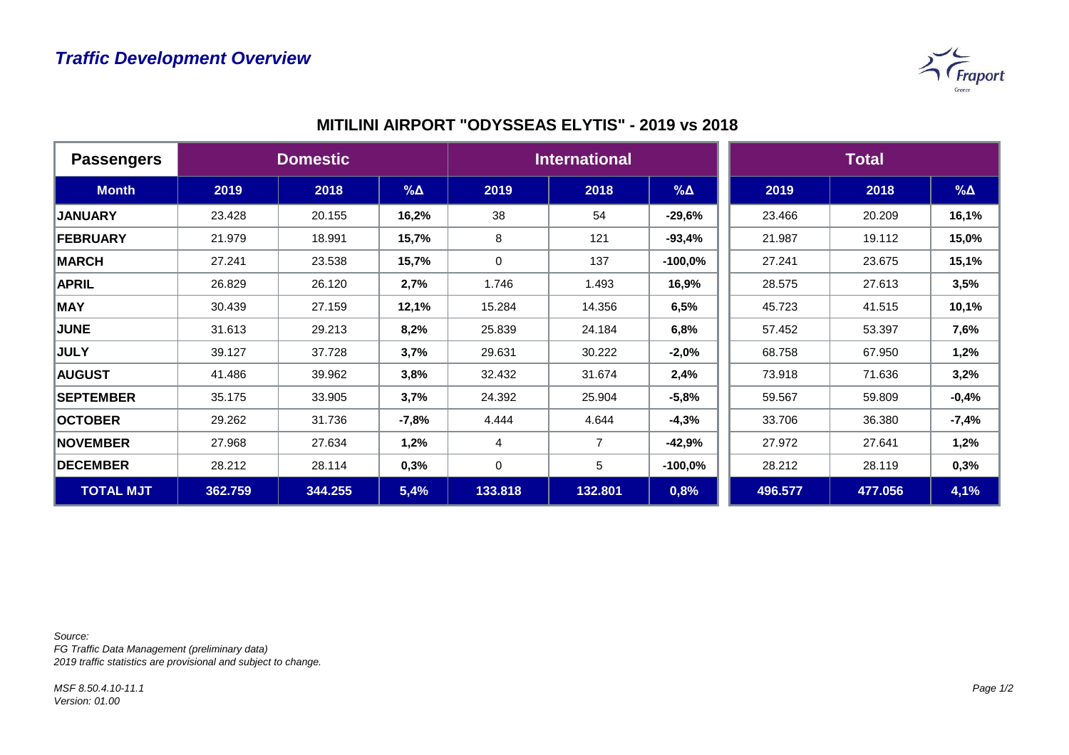

| <b>Passengers</b> | <b>Domestic</b> |         |             | <b>International</b> |                |            | <b>Total</b> |         |             |
|-------------------|-----------------|---------|-------------|----------------------|----------------|------------|--------------|---------|-------------|
| <b>Month</b>      | 2019            | 2018    | $\% \Delta$ | 2019                 | 2018           | $% \Delta$ | 2019         | 2018    | $\% \Delta$ |
| <b>JANUARY</b>    | 23.428          | 20.155  | 16,2%       | 38                   | 54             | $-29,6%$   | 23.466       | 20.209  | 16,1%       |
| <b>FEBRUARY</b>   | 21.979          | 18.991  | 15,7%       | 8                    | 121            | $-93,4%$   | 21.987       | 19.112  | 15,0%       |
| <b>MARCH</b>      | 27.241          | 23.538  | 15,7%       | 0                    | 137            | $-100,0%$  | 27.241       | 23.675  | 15,1%       |
| <b>APRIL</b>      | 26.829          | 26.120  | 2,7%        | 1.746                | 1.493          | 16,9%      | 28.575       | 27.613  | 3,5%        |
| <b>MAY</b>        | 30.439          | 27.159  | 12,1%       | 15.284               | 14.356         | 6,5%       | 45.723       | 41.515  | 10,1%       |
| <b>JUNE</b>       | 31.613          | 29.213  | 8,2%        | 25.839               | 24.184         | 6,8%       | 57.452       | 53.397  | 7,6%        |
| <b>JULY</b>       | 39.127          | 37.728  | 3,7%        | 29.631               | 30.222         | $-2,0%$    | 68.758       | 67.950  | 1,2%        |
| <b>AUGUST</b>     | 41.486          | 39.962  | 3,8%        | 32.432               | 31.674         | 2,4%       | 73.918       | 71.636  | 3,2%        |
| <b>SEPTEMBER</b>  | 35.175          | 33.905  | 3,7%        | 24.392               | 25.904         | $-5,8%$    | 59.567       | 59.809  | $-0,4%$     |
| <b>OCTOBER</b>    | 29.262          | 31.736  | $-7,8%$     | 4.444                | 4.644          | $-4,3%$    | 33.706       | 36.380  | $-7,4%$     |
| <b>NOVEMBER</b>   | 27.968          | 27.634  | 1,2%        | 4                    | $\overline{7}$ | $-42,9%$   | 27.972       | 27.641  | 1,2%        |
| <b>DECEMBER</b>   | 28.212          | 28.114  | 0,3%        | 0                    | 5              | $-100,0\%$ | 28.212       | 28.119  | 0,3%        |
| <b>TOTAL MJT</b>  | 362.759         | 344.255 | 5,4%        | 133.818              | 132.801        | 0,8%       | 496.577      | 477.056 | 4,1%        |

## **MITILINI AIRPORT "ODYSSEAS ELYTIS" - 2019 vs 2018**

*Source:* 

*FG Traffic Data Management (preliminary data) 2019 traffic statistics are provisional and subject to change.*

*MSF 8.50.4.10-11.1 Version: 01.00*